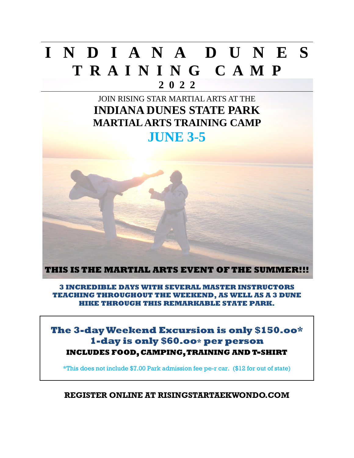## **I N D I A N A D U N E S T R A I N I N G C A M P 2 0 2 2**

## JOIN RISING STAR MARTIAL ARTS AT THE **INDIANA DUNES STATE PARK MARTIAL ARTS TRAINING CAMP JUNE 3-5**



**3 INCREDIBLE DAYS WITH SEVERAL MASTER INSTRUCTORS TEACHING THROUGHOUT THE WEEKEND, AS WELL AS A 3 DUNE HIKE THROUGH THIS REMARKABLE STATE PARK.**

**The 3-day Weekend Excursion is only \$150.oo\* 1-day is only \$60.oo\* per person INCLUDES FOOD,CAMPING,TRAINING AND T-SHIRT**

\*This does not include \$7.00 Park admission fee pe-r car. (\$12 for out of state)

**REGISTER ONLINE AT RISINGSTARTAEKWONDO.COM**